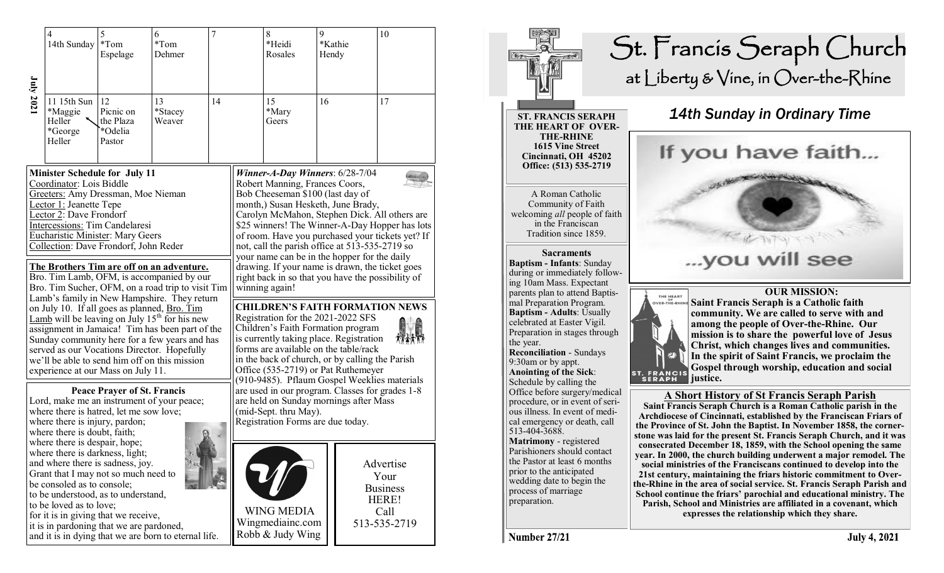|                                                                                                                                                                                                                                                                                                                                                                                                                                                                                                                                                                                           | 4<br>14th Sunday                                                                                                                                                                                                                                                                                                                                                                                                                                                                                                                                                                                                                                                                                                                                                                                                       | 5<br>$*Tom$<br>Espelage                           | 6<br>$*Tom$<br>Dehmer   | $\overline{7}$ |                                                                                                                                                                                                                                                                                                                                               | 8<br>*Heidi<br>Rosales                                                                                                                                                                                                                                                                                                                                                                                                                                                                                                                                                                                                                                                                                                                                                                                                               | 9<br>Hendy | *Kathie | 10 |
|-------------------------------------------------------------------------------------------------------------------------------------------------------------------------------------------------------------------------------------------------------------------------------------------------------------------------------------------------------------------------------------------------------------------------------------------------------------------------------------------------------------------------------------------------------------------------------------------|------------------------------------------------------------------------------------------------------------------------------------------------------------------------------------------------------------------------------------------------------------------------------------------------------------------------------------------------------------------------------------------------------------------------------------------------------------------------------------------------------------------------------------------------------------------------------------------------------------------------------------------------------------------------------------------------------------------------------------------------------------------------------------------------------------------------|---------------------------------------------------|-------------------------|----------------|-----------------------------------------------------------------------------------------------------------------------------------------------------------------------------------------------------------------------------------------------------------------------------------------------------------------------------------------------|--------------------------------------------------------------------------------------------------------------------------------------------------------------------------------------------------------------------------------------------------------------------------------------------------------------------------------------------------------------------------------------------------------------------------------------------------------------------------------------------------------------------------------------------------------------------------------------------------------------------------------------------------------------------------------------------------------------------------------------------------------------------------------------------------------------------------------------|------------|---------|----|
| July 2021                                                                                                                                                                                                                                                                                                                                                                                                                                                                                                                                                                                 | 11 15th Sun<br>*Maggie<br>Heller<br>*George<br>Heller                                                                                                                                                                                                                                                                                                                                                                                                                                                                                                                                                                                                                                                                                                                                                                  | 12<br>Picnic on<br>the Plaza<br>*Odelia<br>Pastor | 13<br>*Stacey<br>Weaver | 14             |                                                                                                                                                                                                                                                                                                                                               | 15<br>*Mary<br>Geers                                                                                                                                                                                                                                                                                                                                                                                                                                                                                                                                                                                                                                                                                                                                                                                                                 | 16         |         | 17 |
|                                                                                                                                                                                                                                                                                                                                                                                                                                                                                                                                                                                           | <b>Minister Schedule for July 11</b><br>Coordinator: Lois Biddle<br>Greeters: Amy Dressman, Moe Nieman<br>Lector 1: Jeanette Tepe<br>Lector 2: Dave Frondorf<br>Intercessions: Tim Candelaresi<br>Eucharistic Minister: Mary Geers<br>Collection: Dave Frondorf, John Reder<br>The Brothers Tim are off on an adventure.<br>Bro. Tim Lamb, OFM, is accompanied by our<br>Bro. Tim Sucher, OFM, on a road trip to visit Tim<br>Lamb's family in New Hampshire. They return<br>on July 10. If all goes as planned, Bro. Tim<br>Lamb will be leaving on July $15th$ for his new<br>assignment in Jamaica! Tim has been part of the<br>Sunday community here for a few years and has<br>served as our Vocations Director. Hopefully<br>we'll be able to send him off on this mission<br>experience at our Mass on July 11. |                                                   |                         |                |                                                                                                                                                                                                                                                                                                                                               | Winner-A-Day Winners: $6/28-7/04$<br>Robert Manning, Frances Coors,<br>Bob Cheeseman \$100 (last day of<br>month,) Susan Hesketh, June Brady,<br>Carolyn McMahon, Stephen Dick. All others are<br>\$25 winners! The Winner-A-Day Hopper has lots<br>of room. Have you purchased your tickets yet? If<br>not, call the parish office at 513-535-2719 so<br>your name can be in the hopper for the daily<br>drawing. If your name is drawn, the ticket goes<br>right back in so that you have the possibility of<br>winning again!<br><b>CHILDREN'S FAITH FORMATION NEWS</b><br>Registration for the 2021-2022 SFS<br>Children's Faith Formation program<br>is currently taking place. Registration<br>forms are available on the table/rack<br>in the back of church, or by calling the Parish<br>Office (535-2719) or Pat Ruthemeyer |            |         |    |
| <b>Peace Prayer of St. Francis</b><br>Lord, make me an instrument of your peace;<br>where there is hatred, let me sow love;<br>where there is injury, pardon;<br>where there is doubt, faith;<br>where there is despair, hope;<br>where there is darkness, light;<br>and where there is sadness, joy.<br>Grant that I may not so much need to<br>be consoled as to console;<br>to be understood, as to understand,<br>to be loved as to love;<br>for it is in giving that we receive,<br>it is in pardoning that we are pardoned,<br>and it is in dying that we are born to eternal life. |                                                                                                                                                                                                                                                                                                                                                                                                                                                                                                                                                                                                                                                                                                                                                                                                                        |                                                   |                         |                | (910-9485). Pflaum Gospel Weeklies materials<br>are used in our program. Classes for grades 1-8<br>are held on Sunday mornings after Mass<br>(mid-Sept. thru May).<br>Registration Forms are due today.<br>Advertise<br>Your<br><b>Business</b><br>HERE!<br><b>WING MEDIA</b><br>Call<br>Wingmediainc.com<br>513-535-2719<br>Robb & Judy Wing |                                                                                                                                                                                                                                                                                                                                                                                                                                                                                                                                                                                                                                                                                                                                                                                                                                      |            |         |    |